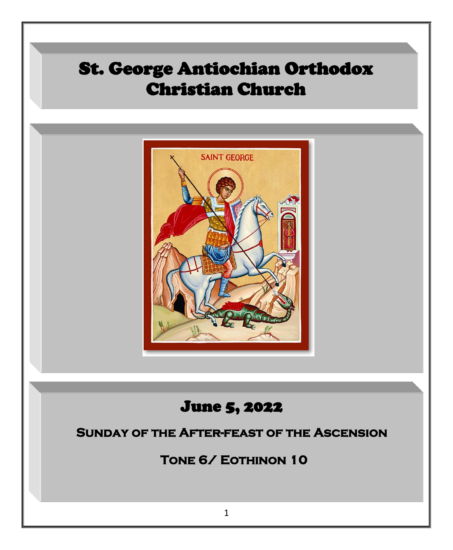## St. George Antiochian Orthodox Christian Church

l



# **Church S, 2022**

#### **Sunday of the After-feast of the Ascension**

**Tone 6/ Eothinon 10**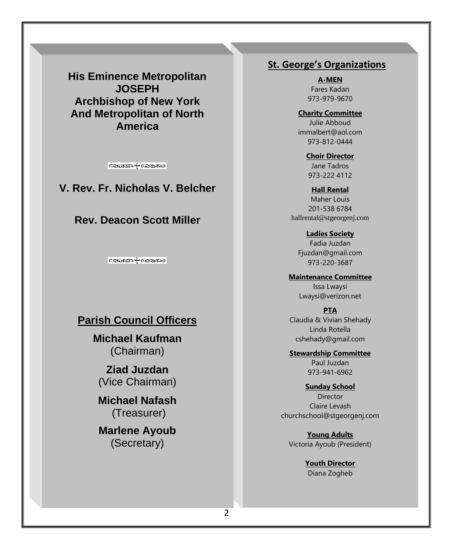**His Eminence Metropolitan JOSEPH Archbishop of New York And Metropolitan of North America**

**GEOSE + GEOSE** 

**V. Rev. Fr. Nicholas V. Belcher**

#### **Rev. Deacon Scott Miller**

**GEOSOF GEOSO** 

#### **Parish Council Officers**

**Michael Kaufman** (Chairman)

**Ziad Juzdan** (Vice Chairman)

**Michael Nafash** (Treasurer)

**Marlene Ayoub**  (Secretary)

#### **St. George's Organizations**

**A-MEN**  Fares Kadan 973-979-9670

**Charity Committee** Julie Abboud immalbert@aol.com 973-812-0444

> **Choir Director** Jane Tadros 973-222 4112

**Hall Rental** Maher Louis 201-538 6784 [hallrental@stgeorgenj.com](mailto:hallrental@stgeorgenj.com)

**Ladies Society** Fadia Juzdan [Fjuzdan@gmail.com](mailto:Fjuzdan@gmail.com) 973-220-3687

**Maintenance Committee** Issa Lwaysi [Lwaysi@verizon.net](mailto:Lwaysi@verizon.net)

**PTA** Claudia & Vivian Shehady Linda Rotella [cshehady@gmail.com](mailto:cshehady@gmail.com)

**Stewardship Committee** Paul Juzdan 973-941-6962

**Sunday School** Director Claire Levash [churchschool@stgeorgenj.com](mailto:churchschool@stgeorgenj.com)

**Young Adults** Victoria Ayoub (President)

> **Youth Director** Diana Zogheb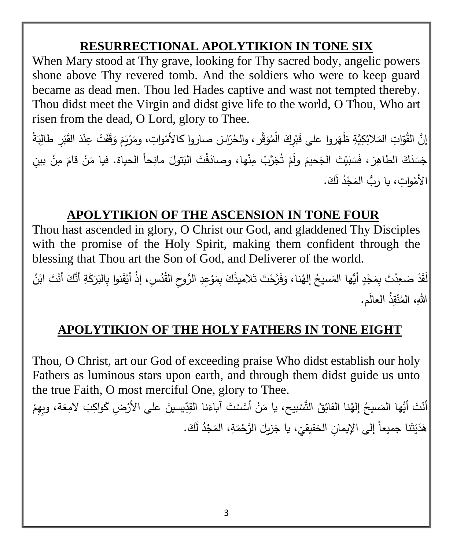## **RESURRECTIONAL APOLYTIKION IN TONE SIX**

When Mary stood at Thy grave, looking for Thy sacred body, angelic powers shone above Thy revered tomb. And the soldiers who were to keep guard became as dead men. Thou led Hades captive and wast not tempted thereby. Thou didst meet the Virgin and didst give life to the world, O Thou, Who art risen from the dead, O Lord, glory to Thee.

ْ إنَّ المُّوَّاتِ المَلائِكِيَّةِ ظَهَروا على قَبْرِكَ الْمُوَقَّر ، والحُرّاسَ صاروا كالأمْواتِ، ومَرْيَمَ وَقَفَتْ عِنْدَ القَبْرِ طَالِبَةً ُ<br>ا  $\dot{ }$ <u>ا</u> َ َ .<br>ا .<br>أ َ ا<br>ا ْ َ جَسَدَكَ الطاهِرَ ، فَسَبَيْتَ الجَحيمَ ولَمْ تُجَرَّبْ مِنْها، وصادَفْتَ البَتولَ مانِحاً الحياة. فيا مَنْ قامَ مِنْ بينِ َ <u>:</u> ً<br>ً  $\overline{a}$ َ ْ ٔ<br>ا ْ ْ الأَمْواتِ، يا ربُّ المَجْدُ لَكَ. **ٔ** ْ

#### **APOLYTIKION OF THE ASCENSION IN TONE FOUR**

Thou hast ascended in glory, O Christ our God, and gladdened Thy Disciples with the promise of the Holy Spirit, making them confident through the blessing that Thou art the Son of God, and Deliverer of the world.

َ لَقَدْ صَعِدْتَ بِمَجْدٍ أَيُّها المَسيحُ إلهُنا، وَفَرَّحْتَ تَلاميذَكَ بِمَوْعِدِ الرُّوحِ القُدُسِ، إذْ أَيْقَنوا بِالبَرَكَةِ أَنَّكَ أَنْتَ ابْنُ .<br>ا . .<br>م ֦֧<u>֓</u> ْ َ . **ٔ** ٔ<br>ا اللهِ، المُنْقِذُ ال<mark>عالَم.</mark> ْ

#### **APOLYTIKION OF THE HOLY FATHERS IN TONE EIGHT**

Thou, O Christ, art our God of exceeding praise Who didst establish our holy Fathers as luminous stars upon earth, and through them didst guide us unto the true Faith, O most merciful One, glory to Thee.

أَنْتَ أَيُّها المَسيحُ إلهُنا الفائِقُ التَّسْبيح، يا مَنْ أَسَّسْتَ آباءَنا القِدِّيسينَ على الأَرْضِ كَواكِبَ لامِعَة، وبِهِمْ ْ ْ َ .<br>أ َ .<br>-هَدَيْتَنا جميعاً إلى الإيمانِ الحَقيقيِّ، يا جَزيلَ الرَّحْمَةِ، المَجْدُ لَكَ.<br>-َ **ٔ** َ ـ<br>-ْ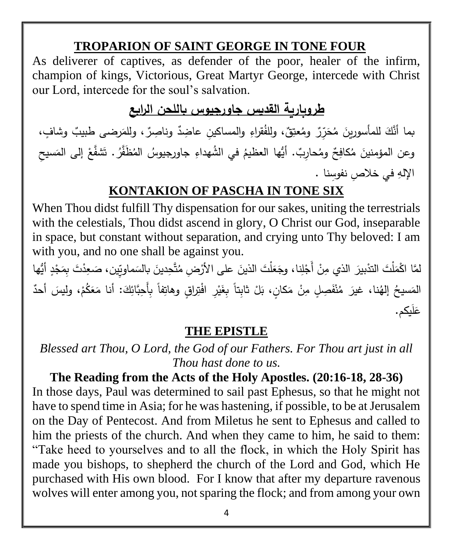#### **TROPARION OF SAINT GEORGE IN TONE FOUR**

As deliverer of captives, as defender of the poor, healer of the infirm, champion of kings, Victorious, Great Martyr George, intercede with Christ our Lord, intercede for the soul's salvation.

#### **طروبارية القديس جاورجيوس باللحن الرابع**

بما أنَّكَ للمأسورينَ مُحَرِّرٌ ومُعتِقٌ، وللفُقراءِ والمساكينِ عاضِدٌ وناصِرٌ، وللمَرضى طبيبٌ وشافٍ، َ وعن المؤمنينَ مُكافِحٌ ومُحارِبٌ. أيُّها العظيمُ في الشُّهداءِ جاورجيوسُ المُظَّفَّرُ. تَشفَّعْ إلى المَسيحِ <u>ٔ</u> َ الإلهِ في خلاصٍ نفوسِنا <mark>.</mark>

### **KONTAKION OF PASCHA IN TONE SIX**

When Thou didst fulfill Thy dispensation for our sakes, uniting the terrestrials with the celestials, Thou didst ascend in glory, O Christ our God, inseparable in space, but constant without separation, and crying unto Thy beloved: I am with you, and no one shall be against you.

لمَّا اكْمَلْتَ التدْبيرَ الذي مِنْ أَجْلِنا، وجَعَلْتَ الذينَ على الأرْضِ مُتَّحِدينَ بالسَماويِّين، صَعِدْتَ بِمَجْدٍ أَيُّها .<br>-.<br>ا َ ِّبُّ َ .<br>-**:** المَسيحُ إلهُنا، غيرَ مُنْفَصِلٍ مِنْ مَكانٍ، بَلْ ثابِتاً بِغَيْرِ افْتِراقٍ وهاتِفاً بِأَحِبَّائِكَ: أنا مَعَكُمْ، وليسَ أحدٌ <u>ا</u> .<br>-ْ ٔ<br>ا ً<br>ً ْ َ َ عَليكم.

#### **THE EPISTLE**

*Blessed art Thou, O Lord, the God of our Fathers. For Thou art just in all Thou hast done to us.*

**The Reading from the Acts of the Holy Apostles. (20:16-18, 28-36)** In those days, Paul was determined to sail past Ephesus, so that he might not have to spend time in Asia; for he was hastening, if possible, to be at Jerusalem on the Day of Pentecost. And from Miletus he sent to Ephesus and called to him the priests of the church. And when they came to him, he said to them: "Take heed to yourselves and to all the flock, in which the Holy Spirit has made you bishops, to shepherd the church of the Lord and God, which He purchased with His own blood. For I know that after my departure ravenous wolves will enter among you, not sparing the flock; and from among your own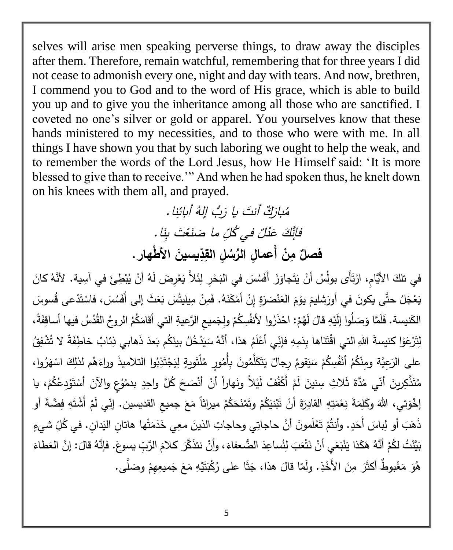selves will arise men speaking perverse things, to draw away the disciples after them. Therefore, remain watchful, remembering that for three years I did not cease to admonish every one, night and day with tears. And now, brethren, I commend you to God and to the word of His grace, which is able to build you up and to give you the inheritance among all those who are sanctified. I coveted no one's silver or gold or apparel. You yourselves know that these hands ministered to my necessities, and to those who were with me. In all things I have shown you that by such laboring we ought to help the weak, and to remember the words of the Lord Jesus, how He Himself said: 'It is more blessed to give than to receive.'" And when he had spoken thus, he knelt down on his knees with them all, and prayed.

> ُم فَإِنَّكَ عَذَٰلٌ بارَكٌ أنتَ يا كِّ أَنتَ يا رَبُّ إِلهُ أَبائِنا. عَدْلٌ في كُلِّ ما صَنَعْتَ بِنَا . صَنَعْتَ بِنَا  **فصل نم ُ عما ل ل <sup>أ</sup> ُس الر يسين د الق األ طهار.**

في تلكَ الأَيَّامِ، ارْتَأَى بولُسُ أنْ يَتَجاوَزَ أَفَسُسَ في البَحْرِ لِئَلاَّ يَعْرِضَ لَهُ أنْ يُبْطِئَ في آسِية. لأَنَّهُ كانَ .<br>أ .<br>-**ٔ** َ ْ .<br>-م<br>أ ْ <u>َ</u> يَعْجَلُ حتَّى يكونَ في أُورَشليمَ يوْمَ الْعَنْصَرَةِ إِنْ أَمْكَنَهُ. فَمِنْ مِيليتُسَ بَعَثَ إلى أَفَسُسَ، فاسْتَدْعى قُسوسَ ْ ْ .<br>-ٔ<br>ا ا<br>ا .<br>-َ ؘ<br>֞ ْ الكَنيسة. فَلَمَّا وَصَلُوا إِلَيْهِ قالَ لَهُمْ: احْذَرُوا لأَنفُسِكُمْ ولِجَميعِ الرَّعيةِ التي أقامَكُمُ الروحُ القُدُسُ فيها أساقِفَةً،  $\mathfrak{p}$ **ٔ** ْ ْ ْ َ **َ** لِتَرْعَوْا كنيسةَ اللهِ التي اقْتَنَاها بِدَمِهِ فإنِّي أَعْلَمُ هذا، أَنَّهُ سَيَدْخُلُ بينَكُم بَعدَ ذَهابي ذِئابٌ خاطِفَةٌ لا تُشْفِقُ ْ ْ ــد<br>ا ٔ. على الرَعِيَّة ومِنْكُمُ أَنْفُسِكُمْ سَيَقومُ رِجالٌ يَتَكَلَّمُونَ بِأُمُورٍ مُلْتَويةٍ لِيَجْتَذِبُوا التلاميذَ وراءَهُم لذلكَ اسْهَرُوا، <u>ا</u> ْ <u>َ</u> **ٔ** َ  $\triangleleft$ ْ مُتَّذَّكِرِينَ أَنّي مُدَّةَ ثَلاثِ سِنينَ لَمْ أَكْفُفْ لَيْلاً ونَهاراً أنْ أنْصَحَ كُلَّ واحِدٍ بدمُوُعٍ والآنَ أَسْتَوْدِعُكُمْ، يا ْ <u>ٔ</u>  $\tilde{\phantom{0}}$ َ ِّبُّ ْ į ْ ْ إِخْوَتِي، اللَّهَ اللهَ وكَلِمَةَ نِعْمَتِهِ القادِرَةَ أَنْ تَبْنيَكُمْ وتَمْنَحَكُمْ ميراثاً مَعَ جميعِ القديسين. إنِّي لَمْ أَشْتَهِ فِضَّةَ أَو ْ <u>:</u> ْ ْ ْ ْ ً<br>ً  $\zeta$ ْ َذ َ ه َ بَ أَو لِباسَ أَحَدٍ. وأَنتُمْ تَعْلَمونَ أنَّ حاجاتِي وحاجاتِ الذينَ معِي خَدَمَتْها هاتانِ اليَدانِ. في كُلِّ شيءٍ ْ ْ ً<br>ً <u>ً</u> بَيَّنْتُ لكُمْ أَنَّهُ هَكَذا يَنْبَغي أَنْ نَتْعَبَ لِنُساعِدَ الضُّعفاءَ، وأَنْ نتذَكَّرَ كلامَ الرَّبِّ يسوعَ. فإنَّهُ قالَ: إنَّ العَطاءَ ْ <u>ا</u> <u>:</u> **ء** َ مُ َ َ **ء** هُوَ مَغْبوطٌ أكثَرَ مِنَ الأَخْذِ. ولَمّا قالَ هذا، جَثَا على رُكْبَتَيْهِ مَعَ جَميعِهِمْ وصَلَّى. . į. **ٔ** ً<br>ً  $\zeta$ َ ْ َ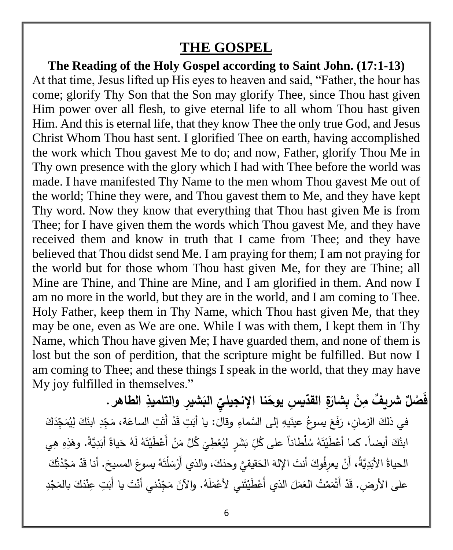## **THE GOSPEL**

**The Reading of the Holy Gospel according to Saint John. (17:1-13)** At that time, Jesus lifted up His eyes to heaven and said, "Father, the hour has come; glorify Thy Son that the Son may glorify Thee, since Thou hast given Him power over all flesh, to give eternal life to all whom Thou hast given Him. And this is eternal life, that they know Thee the only true God, and Jesus Christ Whom Thou hast sent. I glorified Thee on earth, having accomplished the work which Thou gavest Me to do; and now, Father, glorify Thou Me in Thy own presence with the glory which I had with Thee before the world was made. I have manifested Thy Name to the men whom Thou gavest Me out of the world; Thine they were, and Thou gavest them to Me, and they have kept Thy word. Now they know that everything that Thou hast given Me is from Thee; for I have given them the words which Thou gavest Me, and they have received them and know in truth that I came from Thee; and they have believed that Thou didst send Me. I am praying for them; I am not praying for the world but for those whom Thou hast given Me, for they are Thine; all Mine are Thine, and Thine are Mine, and I am glorified in them. And now I am no more in the world, but they are in the world, and I am coming to Thee. Holy Father, keep them in Thy Name, which Thou hast given Me, that they may be one, even as We are one. While I was with them, I kept them in Thy Name, which Thou have given Me; I have guarded them, and none of them is lost but the son of perdition, that the scripture might be fulfilled. But now I am coming to Thee; and these things I speak in the world, that they may have My joy fulfilled in themselves."

فَصْلٌ شريفٌ مِنْ بِشارَةِ القدّيسِ يوحَنا الإنجيليِّ  **نجيلي البشي ر والتلميذ الطاهر .**  في ذلكَ الزمانِ، رَفَعَ يسوعُ عينَيهِ إلى السَّماءِ وقالَ: يا أَبَتِ قَدْ أَتَتِ الساعَة، مَجِّدِ ابنَكَ لِيُمَجِّدَكَ َ <u>ہ</u> .<br>-َ َ َ َ َ ابنُكَ أيضاً. كما أعْطَيْتَهُ سُلْطاناً على كُلِّ بَشَرٍ ليُعْطِيَ كُلَّ مَنْ أَعْطَيْتَهُ لَهُ حَياةً أبَدِيَّةً. وهَذِهِ هِي ْ .<br>. ْ .<br>ا ْ َ .<br>ا ا<br>أ الحياةُ الأَبَدِيَّةُ، أَنْ يعرِفُوكَ أنتَ الإِلهَ الحَقيقيَّ وحدَكَ، والذي أَرْسَلْتَهُ يسوعَ المسيحَ. أنا قَدْ مَجَّدْتُكَ .<br>-َ .<br>أ ً<br>ب َ  $\ddot{\phantom{0}}$ ة<br>ـ .<br>-َ َ على الأرضِ. قَدْ أَتْمَمْتُ العَمَلَ الذي أَعْطَيْتَني لأَعْمَلَهُ. والآنَ مَجِّدْني أَنْتَ يا أَبَتِ عِنْدَكَ بالمَجْدِ ا<br>ا ْ َ ْ ً<br>ً <u>ا</u> َ <u>ا</u> ٔ.<br>ـ َ **:**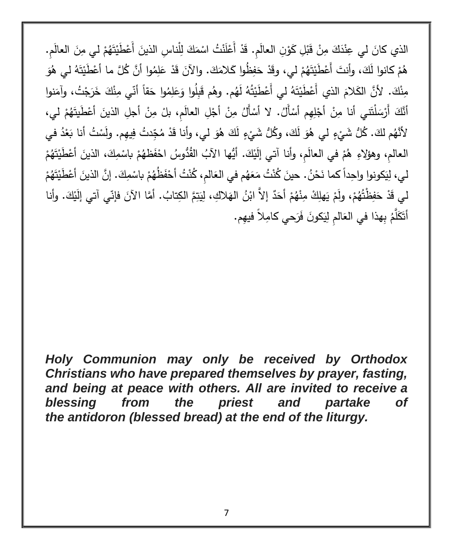الذي كانَ لي عِنْدَكَ مِنْ قَبْلِ كَوْنِ العالَمِ. قَدْ أَعْلَنْتُ اسْمَكَ لِلْناسِ الذينَ أَعْطَيْتَهُمْ لي مِنَ العالَمِ. <u>ا</u> <u>:</u> **:** ْ ْ <u>ا</u> ْ َ ِّبُّ ْ ْ ِّبُّ هُمْ كانوا لَكَ، وأنتَ أَعْطَيْتَهُمْ ليي، وقَدْ حَفِظُوا كَلامَكَ. والآنَ قَدْ عَلِمُوا أَنَّ كُلَّ ما أَعْطَيْتَهُ ليي هُوَ ْ ْ .<br>-ِّ َ <u>ٔ</u> َ مِنْكَ. لأَنَّ الكَلامَ الذي أَعْطَيْتَهُ لي أَعْطَيْتُهُ لَهُم. وهُم قَبِلُوا وَعَلِمُوا حَقاً أنّي مِنْكَ خَرَجْتُ، وآمَنوا ْ َ َ َ <u>ا</u> ً<br>ٌ أَنَّكَ أَرْسَلْتَني أنا مِنْ أَجْلِهِم أَسْأَلُ. لا أَسْأَلُ مِنْ أَجْلِ العالَمِ، بلْ مِنْ أَجلِ الذينَ أَعْطَيتَهُمْ لي، .<br>أ **ٔ** ْ ْ **ٔ** ֡֡<u>֡</u> <u>:</u> <u>:</u> ْ ْ لأَنْهُم لكَ. كُلُّ شَيْءٍ لي هُوَ لَكَ، وكُلُّ شَيْءٍ لَكَ هُوَ لي، وأنا قَدْ مُجِّدتُ فِيهِم. ولَسْتُ أنا بَعْدُ في **ٔ ٔ** َ ْ َ ْ العالمِ، وهؤلاءِ هُمْ في العالَمِ، وأنا آتي إلَيْكَ. أَيُّها الآبُ القُدُّوسُ احْفَظهُمْ باسْمِكَ، الذينَ أعْطَيْتَهُمْ ْ ل ْ ـ<br>-ْ ْ َ <u>َ</u> ْ ْ ْ لي، لِيَكونوا واحِداً كما نَحْنُ. حينَ كُنْتُ مَعَهُم في العَالمِ، كُنْتُ أَحْفَظُهُمْ باسْمِكَ. إنَّ الذينَ أعْطَيْتَهُمْ ْ .<br>أ َ ْ ْ ْ َ .<br>-ْ <u>ٔ</u> ْ لي قَدْ حَفِظْتُهُمْ، ولَمْ يَهلِكْ مِنْهُمْ أَحَدٌ إلاَّ ابْنُ الهَلاكِ، لِيَتِمَّ الكِتابُ. أمَّا الآنَ فإنّي آتي إلَيْكَ. وأنا ْ ْ .<br>أ ْ .<br>.  $\triangleleft$ .<br>- $\mathfrak{p}$ ْ ٔ<br>ا أَتَكَلَّمُ بِهذا في العَالمِ لِيَكونَ فَرَحي كامِلاً فيهِم.

*Holy Communion may only be received by Orthodox Christians who have prepared themselves by prayer, fasting, and being at peace with others. All are invited to receive a blessing from the priest and partake of the antidoron (blessed bread) at the end of the liturgy.*